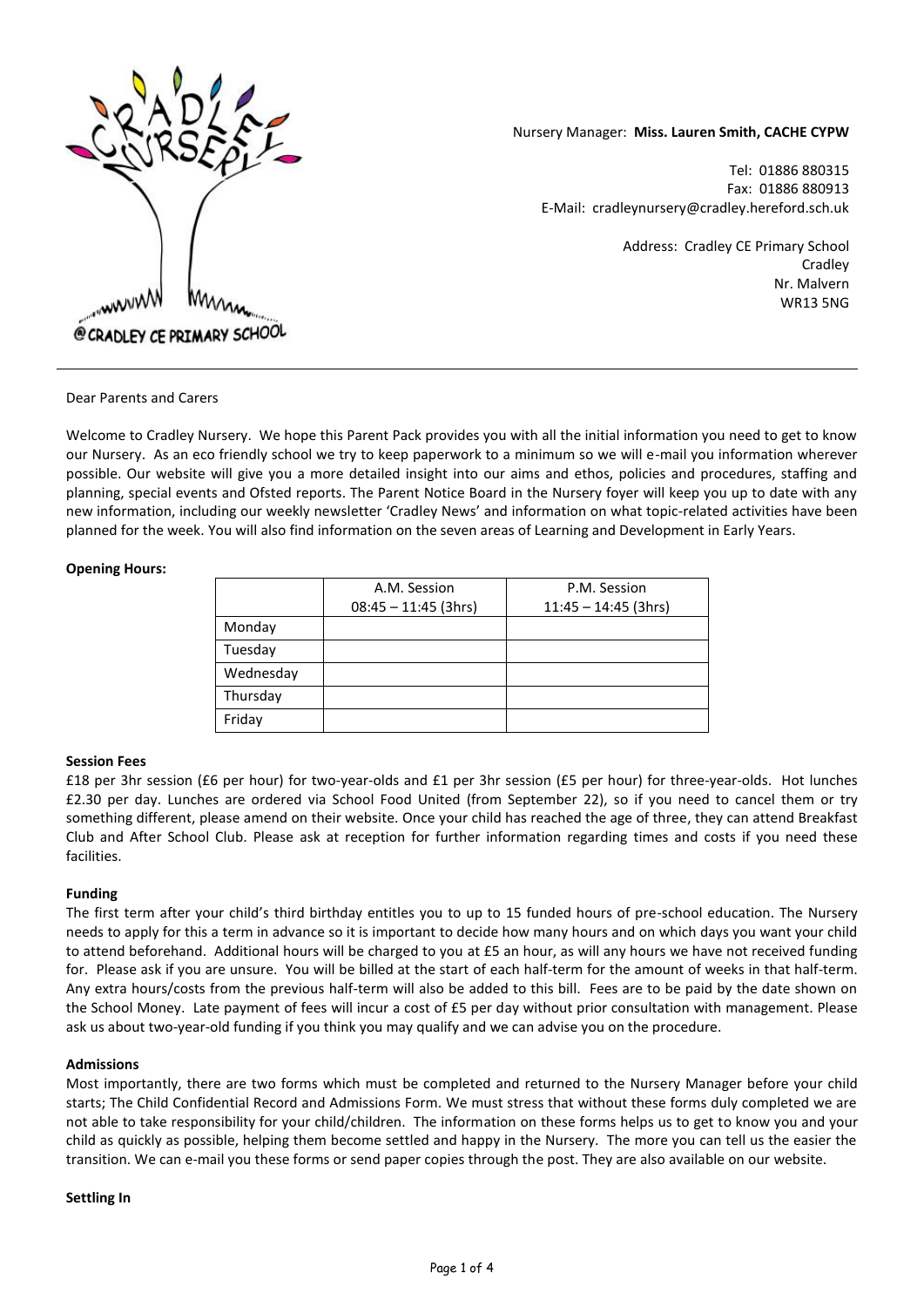

# Nursery Manager: **Miss. Lauren Smith, CACHE CYPW**

Tel: 01886 880315 Fax: 01886 880913 E-Mail: cradleynursery@cradley.hereford.sch.uk

> Address: Cradley CE Primary School **Cradley** Nr. Malvern WR13 5NG

Dear Parents and Carers

Welcome to Cradley Nursery. We hope this Parent Pack provides you with all the initial information you need to get to know our Nursery. As an eco friendly school we try to keep paperwork to a minimum so we will e-mail you information wherever possible. Our website will give you a more detailed insight into our aims and ethos, policies and procedures, staffing and planning, special events and Ofsted reports. The Parent Notice Board in the Nursery foyer will keep you up to date with any new information, including our weekly newsletter 'Cradley News' and information on what topic-related activities have been planned for the week. You will also find information on the seven areas of Learning and Development in Early Years.

### **Opening Hours:**

|           | A.M. Session           | P.M. Session           |
|-----------|------------------------|------------------------|
|           | $08:45 - 11:45$ (3hrs) | $11:45 - 14:45$ (3hrs) |
| Monday    |                        |                        |
| Tuesday   |                        |                        |
| Wednesday |                        |                        |
| Thursday  |                        |                        |
| Friday    |                        |                        |

# **Session Fees**

£18 per 3hr session (£6 per hour) for two-year-olds and £1 per 3hr session (£5 per hour) for three-year-olds. Hot lunches £2.30 per day. Lunches are ordered via School Food United (from September 22), so if you need to cancel them or try something different, please amend on their website. Once your child has reached the age of three, they can attend Breakfast Club and After School Club. Please ask at reception for further information regarding times and costs if you need these facilities.

# **Funding**

The first term after your child's third birthday entitles you to up to 15 funded hours of pre-school education. The Nursery needs to apply for this a term in advance so it is important to decide how many hours and on which days you want your child to attend beforehand. Additional hours will be charged to you at £5 an hour, as will any hours we have not received funding for. Please ask if you are unsure. You will be billed at the start of each half-term for the amount of weeks in that half-term. Any extra hours/costs from the previous half-term will also be added to this bill. Fees are to be paid by the date shown on the School Money. Late payment of fees will incur a cost of £5 per day without prior consultation with management. Please ask us about two-year-old funding if you think you may qualify and we can advise you on the procedure.

# **Admissions**

Most importantly, there are two forms which must be completed and returned to the Nursery Manager before your child starts; The Child Confidential Record and Admissions Form. We must stress that without these forms duly completed we are not able to take responsibility for your child/children. The information on these forms helps us to get to know you and your child as quickly as possible, helping them become settled and happy in the Nursery. The more you can tell us the easier the transition. We can e-mail you these forms or send paper copies through the post. They are also available on our website.

# **Settling In**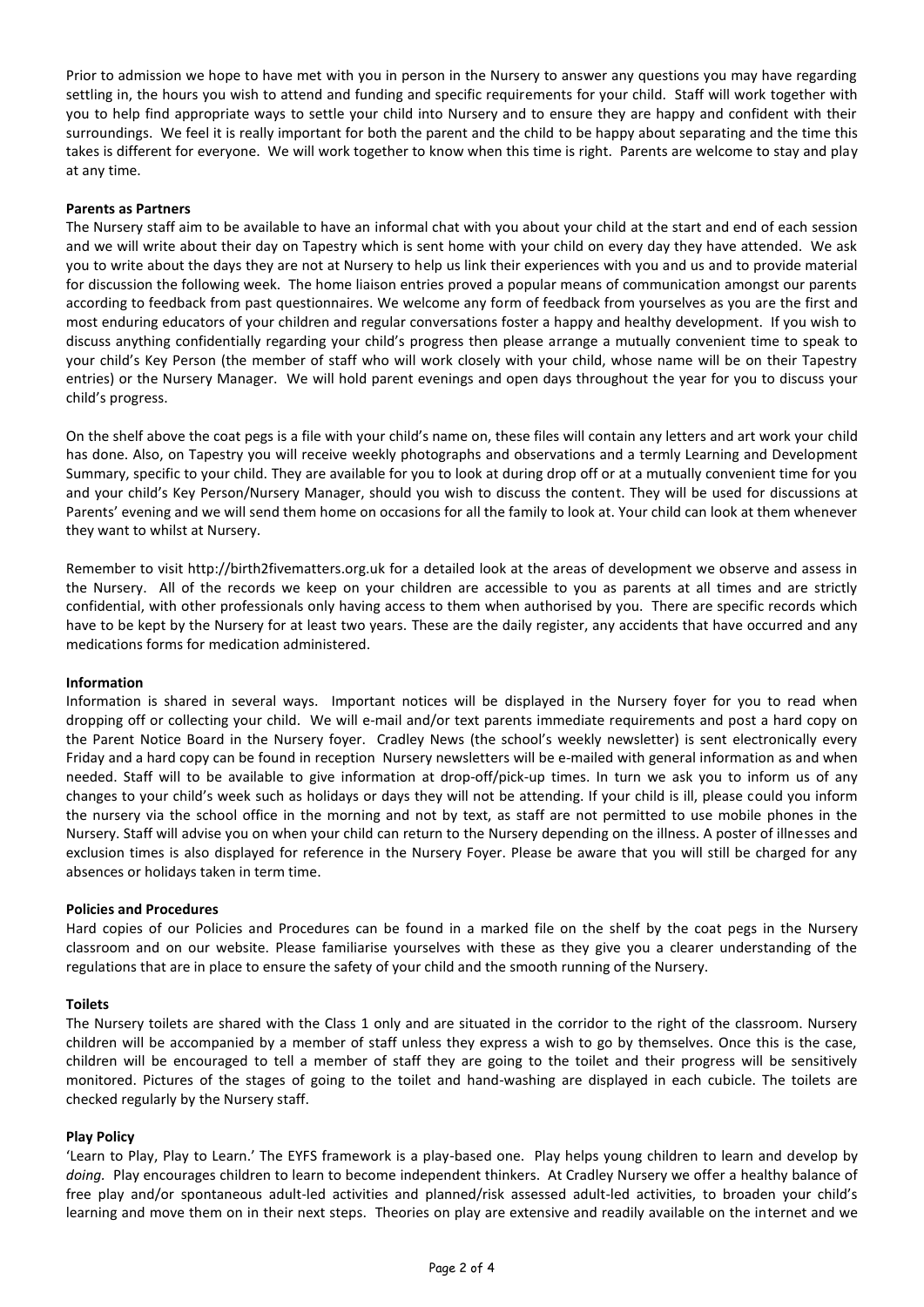Prior to admission we hope to have met with you in person in the Nursery to answer any questions you may have regarding settling in, the hours you wish to attend and funding and specific requirements for your child. Staff will work together with you to help find appropriate ways to settle your child into Nursery and to ensure they are happy and confident with their surroundings. We feel it is really important for both the parent and the child to be happy about separating and the time this takes is different for everyone. We will work together to know when this time is right. Parents are welcome to stay and play at any time.

## **Parents as Partners**

The Nursery staff aim to be available to have an informal chat with you about your child at the start and end of each session and we will write about their day on Tapestry which is sent home with your child on every day they have attended. We ask you to write about the days they are not at Nursery to help us link their experiences with you and us and to provide material for discussion the following week. The home liaison entries proved a popular means of communication amongst our parents according to feedback from past questionnaires. We welcome any form of feedback from yourselves as you are the first and most enduring educators of your children and regular conversations foster a happy and healthy development. If you wish to discuss anything confidentially regarding your child's progress then please arrange a mutually convenient time to speak to your child's Key Person (the member of staff who will work closely with your child, whose name will be on their Tapestry entries) or the Nursery Manager. We will hold parent evenings and open days throughout the year for you to discuss your child's progress.

On the shelf above the coat pegs is a file with your child's name on, these files will contain any letters and art work your child has done. Also, on Tapestry you will receive weekly photographs and observations and a termly Learning and Development Summary, specific to your child. They are available for you to look at during drop off or at a mutually convenient time for you and your child's Key Person/Nursery Manager, should you wish to discuss the content. They will be used for discussions at Parents' evening and we will send them home on occasions for all the family to look at. Your child can look at them whenever they want to whilst at Nursery.

Remember to visit [http://birth2fivematters.org.uk](http://birth2fivematters.org.uk/) for a detailed look at the areas of development we observe and assess in the Nursery. All of the records we keep on your children are accessible to you as parents at all times and are strictly confidential, with other professionals only having access to them when authorised by you. There are specific records which have to be kept by the Nursery for at least two years. These are the daily register, any accidents that have occurred and any medications forms for medication administered.

#### **Information**

Information is shared in several ways. Important notices will be displayed in the Nursery foyer for you to read when dropping off or collecting your child. We will e-mail and/or text parents immediate requirements and post a hard copy on the Parent Notice Board in the Nursery foyer. Cradley News (the school's weekly newsletter) is sent electronically every Friday and a hard copy can be found in reception Nursery newsletters will be e-mailed with general information as and when needed. Staff will to be available to give information at drop-off/pick-up times. In turn we ask you to inform us of any changes to your child's week such as holidays or days they will not be attending. If your child is ill, please could you inform the nursery via the school office in the morning and not by text, as staff are not permitted to use mobile phones in the Nursery. Staff will advise you on when your child can return to the Nursery depending on the illness. A poster of illnesses and exclusion times is also displayed for reference in the Nursery Foyer. Please be aware that you will still be charged for any absences or holidays taken in term time.

#### **Policies and Procedures**

Hard copies of our Policies and Procedures can be found in a marked file on the shelf by the coat pegs in the Nursery classroom and on our website. Please familiarise yourselves with these as they give you a clearer understanding of the regulations that are in place to ensure the safety of your child and the smooth running of the Nursery.

#### **Toilets**

The Nursery toilets are shared with the Class 1 only and are situated in the corridor to the right of the classroom. Nursery children will be accompanied by a member of staff unless they express a wish to go by themselves. Once this is the case, children will be encouraged to tell a member of staff they are going to the toilet and their progress will be sensitively monitored. Pictures of the stages of going to the toilet and hand-washing are displayed in each cubicle. The toilets are checked regularly by the Nursery staff.

#### **Play Policy**

'Learn to Play, Play to Learn.' The EYFS framework is a play-based one. Play helps young children to learn and develop by *doing.* Play encourages children to learn to become independent thinkers. At Cradley Nursery we offer a healthy balance of free play and/or spontaneous adult-led activities and planned/risk assessed adult-led activities, to broaden your child's learning and move them on in their next steps. Theories on play are extensive and readily available on the internet and we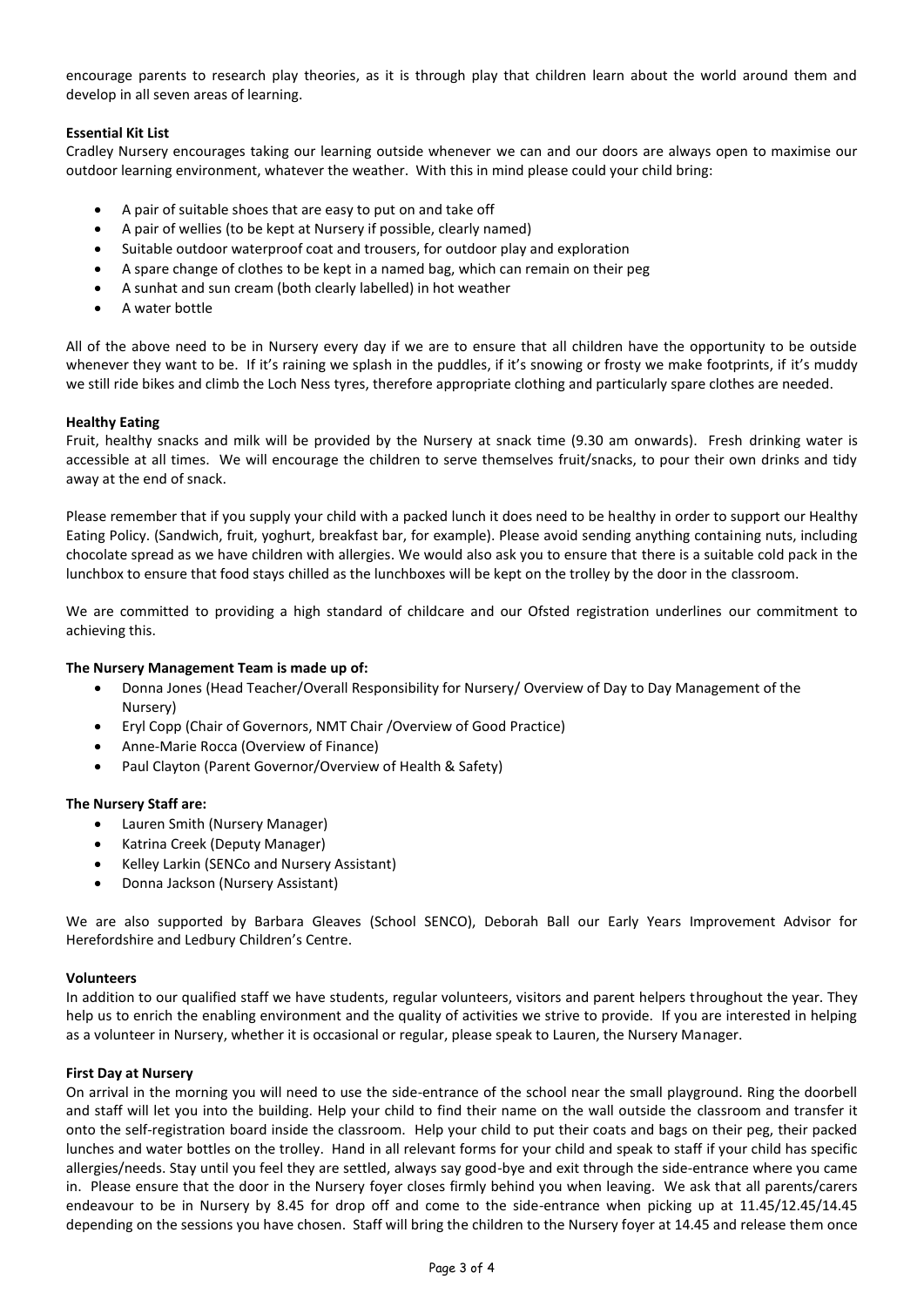encourage parents to research play theories, as it is through play that children learn about the world around them and develop in all seven areas of learning.

# **Essential Kit List**

Cradley Nursery encourages taking our learning outside whenever we can and our doors are always open to maximise our outdoor learning environment, whatever the weather. With this in mind please could your child bring:

- A pair of suitable shoes that are easy to put on and take off
- A pair of wellies (to be kept at Nursery if possible, clearly named)
- Suitable outdoor waterproof coat and trousers, for outdoor play and exploration
- A spare change of clothes to be kept in a named bag, which can remain on their peg
- A sunhat and sun cream (both clearly labelled) in hot weather
- A water bottle

All of the above need to be in Nursery every day if we are to ensure that all children have the opportunity to be outside whenever they want to be. If it's raining we splash in the puddles, if it's snowing or frosty we make footprints, if it's muddy we still ride bikes and climb the Loch Ness tyres, therefore appropriate clothing and particularly spare clothes are needed.

# **Healthy Eating**

Fruit, healthy snacks and milk will be provided by the Nursery at snack time (9.30 am onwards). Fresh drinking water is accessible at all times. We will encourage the children to serve themselves fruit/snacks, to pour their own drinks and tidy away at the end of snack.

Please remember that if you supply your child with a packed lunch it does need to be healthy in order to support our Healthy Eating Policy. (Sandwich, fruit, yoghurt, breakfast bar, for example). Please avoid sending anything containing nuts, including chocolate spread as we have children with allergies. We would also ask you to ensure that there is a suitable cold pack in the lunchbox to ensure that food stays chilled as the lunchboxes will be kept on the trolley by the door in the classroom.

We are committed to providing a high standard of childcare and our Ofsted registration underlines our commitment to achieving this.

# **The Nursery Management Team is made up of:**

- Donna Jones (Head Teacher/Overall Responsibility for Nursery/ Overview of Day to Day Management of the Nursery)
- Eryl Copp (Chair of Governors, NMT Chair /Overview of Good Practice)
- Anne-Marie Rocca (Overview of Finance)
- Paul Clayton (Parent Governor/Overview of Health & Safety)

# **The Nursery Staff are:**

- Lauren Smith (Nursery Manager)
- Katrina Creek (Deputy Manager)
- Kelley Larkin (SENCo and Nursery Assistant)
- Donna Jackson (Nursery Assistant)

We are also supported by Barbara Gleaves (School SENCO), Deborah Ball our Early Years Improvement Advisor for Herefordshire and Ledbury Children's Centre.

#### **Volunteers**

In addition to our qualified staff we have students, regular volunteers, visitors and parent helpers throughout the year. They help us to enrich the enabling environment and the quality of activities we strive to provide. If you are interested in helping as a volunteer in Nursery, whether it is occasional or regular, please speak to Lauren, the Nursery Manager.

#### **First Day at Nursery**

On arrival in the morning you will need to use the side-entrance of the school near the small playground. Ring the doorbell and staff will let you into the building. Help your child to find their name on the wall outside the classroom and transfer it onto the self-registration board inside the classroom. Help your child to put their coats and bags on their peg, their packed lunches and water bottles on the trolley. Hand in all relevant forms for your child and speak to staff if your child has specific allergies/needs. Stay until you feel they are settled, always say good-bye and exit through the side-entrance where you came in. Please ensure that the door in the Nursery foyer closes firmly behind you when leaving. We ask that all parents/carers endeavour to be in Nursery by 8.45 for drop off and come to the side-entrance when picking up at 11.45/12.45/14.45 depending on the sessions you have chosen. Staff will bring the children to the Nursery foyer at 14.45 and release them once